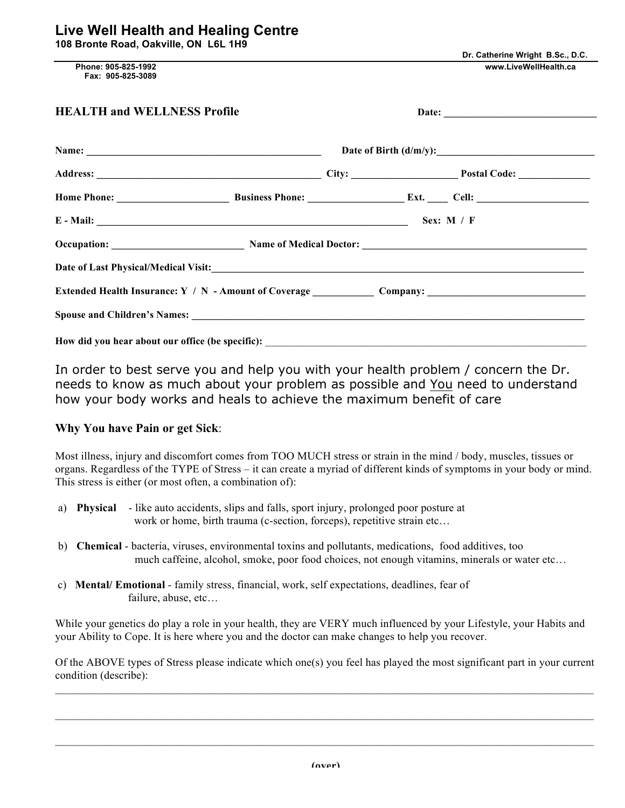|  |  |  | 108 Bronte Road, Oakville, ON L6L 1H9 |  |  |  |
|--|--|--|---------------------------------------|--|--|--|
|--|--|--|---------------------------------------|--|--|--|

 **Phone: 905-825-1992 www.LiveWellHealth.ca Fax: 905-825-3089** 

| <b>HEALTH and WELLNESS Profile</b>               |  |  |                                                                                                                                                                                                                               |  |
|--------------------------------------------------|--|--|-------------------------------------------------------------------------------------------------------------------------------------------------------------------------------------------------------------------------------|--|
|                                                  |  |  |                                                                                                                                                                                                                               |  |
|                                                  |  |  |                                                                                                                                                                                                                               |  |
|                                                  |  |  |                                                                                                                                                                                                                               |  |
| E - Mail: Sex: M / F                             |  |  |                                                                                                                                                                                                                               |  |
|                                                  |  |  |                                                                                                                                                                                                                               |  |
|                                                  |  |  | Date of Last Physical/Medical Visit: Last 2008 and 2008 and 2008 and 2008 and 2008 and 2008 and 2008 and 2008 and 2008 and 2008 and 2008 and 2008 and 2008 and 2008 and 2008 and 2008 and 2008 and 2008 and 2008 and 2008 and |  |
|                                                  |  |  | Extended Health Insurance: Y / N - Amount of Coverage Company: Company:                                                                                                                                                       |  |
|                                                  |  |  |                                                                                                                                                                                                                               |  |
| How did you hear about our office (be specific): |  |  |                                                                                                                                                                                                                               |  |

In order to best serve you and help you with your health problem / concern the Dr. needs to know as much about your problem as possible and You need to understand how your body works and heals to achieve the maximum benefit of care

## **Why You have Pain or get Sick**:

Most illness, injury and discomfort comes from TOO MUCH stress or strain in the mind / body, muscles, tissues or organs. Regardless of the TYPE of Stress – it can create a myriad of different kinds of symptoms in your body or mind. This stress is either (or most often, a combination of):

- a) **Physical** like auto accidents, slips and falls, sport injury, prolonged poor posture at work or home, birth trauma (c-section, forceps), repetitive strain etc...
- b) **Chemical** bacteria, viruses, environmental toxins and pollutants, medications, food additives, too much caffeine, alcohol, smoke, poor food choices, not enough vitamins, minerals or water etc…
- c) **Mental/ Emotional** family stress, financial, work, self expectations, deadlines, fear of failure, abuse, etc…

While your genetics do play a role in your health, they are VERY much influenced by your Lifestyle, your Habits and your Ability to Cope. It is here where you and the doctor can make changes to help you recover.

Of the ABOVE types of Stress please indicate which one(s) you feel has played the most significant part in your current condition (describe):  $\mathcal{L}_\mathcal{L} = \mathcal{L}_\mathcal{L} = \mathcal{L}_\mathcal{L} = \mathcal{L}_\mathcal{L} = \mathcal{L}_\mathcal{L} = \mathcal{L}_\mathcal{L} = \mathcal{L}_\mathcal{L} = \mathcal{L}_\mathcal{L} = \mathcal{L}_\mathcal{L} = \mathcal{L}_\mathcal{L} = \mathcal{L}_\mathcal{L} = \mathcal{L}_\mathcal{L} = \mathcal{L}_\mathcal{L} = \mathcal{L}_\mathcal{L} = \mathcal{L}_\mathcal{L} = \mathcal{L}_\mathcal{L} = \mathcal{L}_\mathcal{L}$ 

 $\mathcal{L}_\mathcal{L} = \mathcal{L}_\mathcal{L} = \mathcal{L}_\mathcal{L} = \mathcal{L}_\mathcal{L} = \mathcal{L}_\mathcal{L} = \mathcal{L}_\mathcal{L} = \mathcal{L}_\mathcal{L} = \mathcal{L}_\mathcal{L} = \mathcal{L}_\mathcal{L} = \mathcal{L}_\mathcal{L} = \mathcal{L}_\mathcal{L} = \mathcal{L}_\mathcal{L} = \mathcal{L}_\mathcal{L} = \mathcal{L}_\mathcal{L} = \mathcal{L}_\mathcal{L} = \mathcal{L}_\mathcal{L} = \mathcal{L}_\mathcal{L}$ 

 $\mathcal{L}_\mathcal{L} = \mathcal{L}_\mathcal{L} = \mathcal{L}_\mathcal{L} = \mathcal{L}_\mathcal{L} = \mathcal{L}_\mathcal{L} = \mathcal{L}_\mathcal{L} = \mathcal{L}_\mathcal{L} = \mathcal{L}_\mathcal{L} = \mathcal{L}_\mathcal{L} = \mathcal{L}_\mathcal{L} = \mathcal{L}_\mathcal{L} = \mathcal{L}_\mathcal{L} = \mathcal{L}_\mathcal{L} = \mathcal{L}_\mathcal{L} = \mathcal{L}_\mathcal{L} = \mathcal{L}_\mathcal{L} = \mathcal{L}_\mathcal{L}$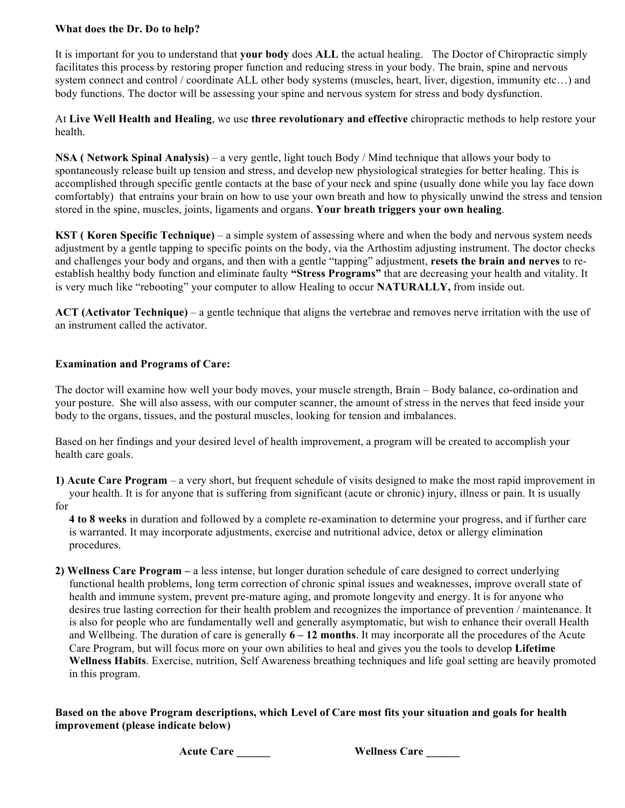## **What does the Dr. Do to help?**

It is important for you to understand that **your body** does **ALL** the actual healing. The Doctor of Chiropractic simply facilitates this process by restoring proper function and reducing stress in your body. The brain, spine and nervous system connect and control / coordinate ALL other body systems (muscles, heart, liver, digestion, immunity etc…) and body functions. The doctor will be assessing your spine and nervous system for stress and body dysfunction.

At **Live Well Health and Healing**, we use **three revolutionary and effective** chiropractic methods to help restore your health.

**NSA ( Network Spinal Analysis)** – a very gentle, light touch Body / Mind technique that allows your body to spontaneously release built up tension and stress, and develop new physiological strategies for better healing. This is accomplished through specific gentle contacts at the base of your neck and spine (usually done while you lay face down comfortably) that entrains your brain on how to use your own breath and how to physically unwind the stress and tension stored in the spine, muscles, joints, ligaments and organs. **Your breath triggers your own healing**.

**KST ( Koren Specific Technique)** – a simple system of assessing where and when the body and nervous system needs adjustment by a gentle tapping to specific points on the body, via the Arthostim adjusting instrument. The doctor checks and challenges your body and organs, and then with a gentle "tapping" adjustment, **resets the brain and nerves** to reestablish healthy body function and eliminate faulty **"Stress Programs"** that are decreasing your health and vitality. It is very much like "rebooting" your computer to allow Healing to occur **NATURALLY,** from inside out.

**ACT (Activator Technique)** – a gentle technique that aligns the vertebrae and removes nerve irritation with the use of an instrument called the activator.

## **Examination and Programs of Care:**

The doctor will examine how well your body moves, your muscle strength, Brain – Body balance, co-ordination and your posture. She will also assess, with our computer scanner, the amount of stress in the nerves that feed inside your body to the organs, tissues, and the postural muscles, looking for tension and imbalances.

Based on her findings and your desired level of health improvement, a program will be created to accomplish your health care goals.

**1) Acute Care Program** – a very short, but frequent schedule of visits designed to make the most rapid improvement in your health. It is for anyone that is suffering from significant (acute or chronic) injury, illness or pain. It is usually for

 **4 to 8 weeks** in duration and followed by a complete re-examination to determine your progress, and if further care is warranted. It may incorporate adjustments, exercise and nutritional advice, detox or allergy elimination procedures.

**2) Wellness Care Program –** a less intense, but longer duration schedule of care designed to correct underlying functional health problems, long term correction of chronic spinal issues and weaknesses, improve overall state of health and immune system, prevent pre-mature aging, and promote longevity and energy. It is for anyone who desires true lasting correction for their health problem and recognizes the importance of prevention / maintenance. It is also for people who are fundamentally well and generally asymptomatic, but wish to enhance their overall Health and Wellbeing. The duration of care is generally **6 – 12 months**. It may incorporate all the procedures of the Acute Care Program, but will focus more on your own abilities to heal and gives you the tools to develop **Lifetime Wellness Habits**. Exercise, nutrition, Self Awareness breathing techniques and life goal setting are heavily promoted in this program.

**Based on the above Program descriptions, which Level of Care most fits your situation and goals for health improvement (please indicate below)**

 **Acute Care \_\_\_\_\_\_ Wellness Care \_\_\_\_\_\_**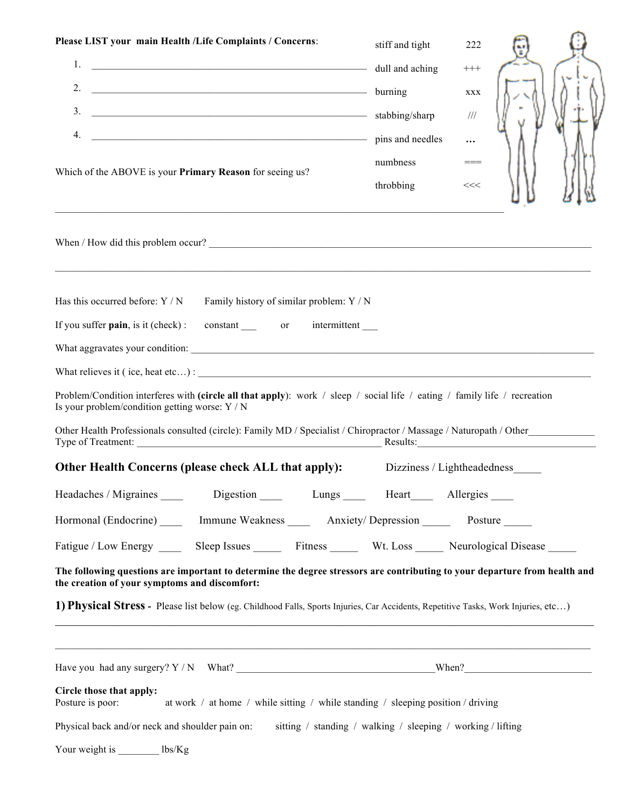| Please LIST your main Health /Life Complaints / Concerns:                                                                                                                   | stiff and tight                                             | 222                         |  |
|-----------------------------------------------------------------------------------------------------------------------------------------------------------------------------|-------------------------------------------------------------|-----------------------------|--|
| 1.<br>dull and aching<br>2.                                                                                                                                                 |                                                             | $^{+++}$                    |  |
| $\overline{\phantom{a}}$ burning<br>3.<br>stabbing/sharp                                                                                                                    |                                                             | XXX                         |  |
| 4.<br>pins and needles                                                                                                                                                      |                                                             | 111                         |  |
| Which of the ABOVE is your Primary Reason for seeing us?                                                                                                                    | numbness<br>throbbing                                       | <br>$==$<br><<              |  |
| ,我们也不会有什么。""我们的人,我们也不会有什么?""我们的人,我们也不会有什么?""我们的人,我们也不会有什么?""我们的人,我们也不会有什么?""我们的人                                                                                            |                                                             |                             |  |
| Has this occurred before: $Y/N$ Family history of similar problem: $Y/N$                                                                                                    |                                                             |                             |  |
| If you suffer pain, is it (check): constant _______ or intermittent _____                                                                                                   |                                                             |                             |  |
|                                                                                                                                                                             |                                                             |                             |  |
|                                                                                                                                                                             |                                                             |                             |  |
| Problem/Condition interferes with (circle all that apply): work / sleep / social life / eating / family life / recreation<br>Is your problem/condition getting worse: Y / N |                                                             |                             |  |
| Other Health Professionals consulted (circle): Family MD / Specialist / Chiropractor / Massage / Naturopath / Other                                                         |                                                             |                             |  |
| Other Health Concerns (please check ALL that apply):                                                                                                                        |                                                             | Dizziness / Lightheadedness |  |
| Headaches / Migraines<br>Digestion Lungs Heart Allergies                                                                                                                    |                                                             |                             |  |
| Hormonal (Endocrine) ______ Immune Weakness _______ Anxiety/Depression ________ Posture ______                                                                              |                                                             |                             |  |
| Fatigue / Low Energy _______ Sleep Issues ________ Fitness _________ Wt. Loss ______ Neurological Disease _____                                                             |                                                             |                             |  |
| The following questions are important to determine the degree stressors are contributing to your departure from health and<br>the creation of your symptoms and discomfort: |                                                             |                             |  |
| 1) Physical Stress - Please list below (eg. Childhood Falls, Sports Injuries, Car Accidents, Repetitive Tasks, Work Injuries, etc)                                          |                                                             |                             |  |
| <u> 1989 - Andrea Santana, amerikana amerikana amerikana amerikana amerikana amerikana amerikana amerikana amerika</u>                                                      |                                                             |                             |  |
| Circle those that apply:<br>Posture is poor:<br>at work $\ell$ at home $\ell$ while sitting $\ell$ while standing $\ell$ sleeping position $\ell$ driving                   |                                                             |                             |  |
| Physical back and/or neck and shoulder pain on:                                                                                                                             | sitting / standing / walking / sleeping / working / lifting |                             |  |
| Your weight is _________ lbs/Kg                                                                                                                                             |                                                             |                             |  |